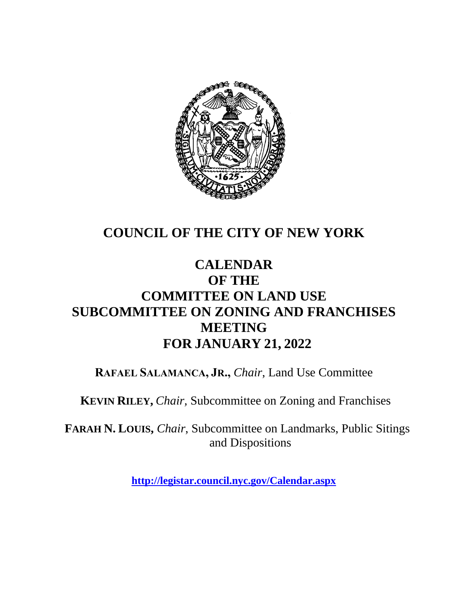

# **COUNCIL OF THE CITY OF NEW YORK**

# **CALENDAR OF THE COMMITTEE ON LAND USE SUBCOMMITTEE ON ZONING AND FRANCHISES MEETING FOR JANUARY 21, 2022**

**RAFAEL SALAMANCA, JR.,** *Chair*, Land Use Committee

**KEVIN RILEY,** *Chair,* Subcommittee on Zoning and Franchises

**FARAH N. LOUIS,** *Chair*, Subcommittee on Landmarks, Public Sitings and Dispositions

**<http://legistar.council.nyc.gov/Calendar.aspx>**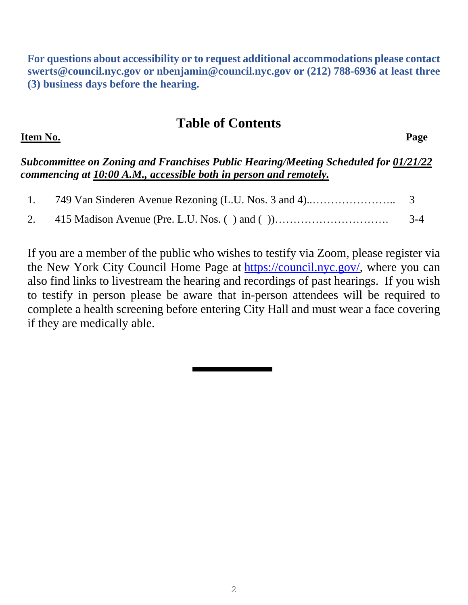**For questions about accessibility or to request additional accommodations please contact [swerts@council.nyc.gov](mailto:swerts@council.nyc.gov) or [nbenjamin@council.nyc.gov](mailto:nbenjamin@council.nyc.gov) or (212) 788-6936 at least three (3) business days before the hearing.**

#### **Table of Contents**

**Item No. Page** 

*Subcommittee on Zoning and Franchises Public Hearing/Meeting Scheduled for 01/21/22 commencing at 10:00 A.M., accessible both in person and remotely.*

|  | $3-4$ |
|--|-------|

If you are a member of the public who wishes to testify via Zoom, please register via the New York City Council Home Page at [https://council.nyc.gov/,](https://council.nyc.gov/) where you can also find links to livestream the hearing and recordings of past hearings. If you wish to testify in person please be aware that in-person attendees will be required to complete a health screening before entering City Hall and must wear a face covering if they are medically able.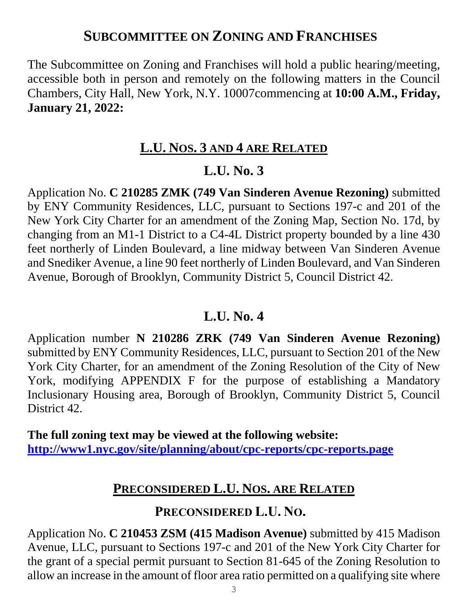## **SUBCOMMITTEE ON ZONING AND FRANCHISES**

The Subcommittee on Zoning and Franchises will hold a public hearing/meeting, accessible both in person and remotely on the following matters in the Council Chambers, City Hall, New York, N.Y. 10007commencing at **10:00 A.M., Friday, January 21, 2022:**

#### **L.U. NOS. 3 AND 4 ARE RELATED**

## **L.U. No. 3**

Application No. **C 210285 ZMK (749 Van Sinderen Avenue Rezoning)** submitted by ENY Community Residences, LLC, pursuant to Sections 197-c and 201 of the New York City Charter for an amendment of the Zoning Map, Section No. 17d, by changing from an M1-1 District to a C4-4L District property bounded by a line 430 feet northerly of Linden Boulevard, a line midway between Van Sinderen Avenue and Snediker Avenue, a line 90 feet northerly of Linden Boulevard, and Van Sinderen Avenue, Borough of Brooklyn, Community District 5, Council District 42.

## **L.U. No. 4**

Application number **N 210286 ZRK (749 Van Sinderen Avenue Rezoning)**  submitted by ENY Community Residences, LLC, pursuant to Section 201 of the New York City Charter, for an amendment of the Zoning Resolution of the City of New York, modifying APPENDIX F for the purpose of establishing a Mandatory Inclusionary Housing area, Borough of Brooklyn, Community District 5, Council District 42.

**The full zoning text may be viewed at the following website: <http://www1.nyc.gov/site/planning/about/cpc-reports/cpc-reports.page>**

## **PRECONSIDERED L.U. NOS. ARE RELATED**

#### **PRECONSIDERED L.U. NO.**

Application No. **C 210453 ZSM (415 Madison Avenue)** submitted by 415 Madison Avenue, LLC, pursuant to Sections 197-c and 201 of the New York City Charter for the grant of a special permit pursuant to Section 81-645 of the Zoning Resolution to allow an increase in the amount of floor area ratio permitted on a qualifying site where